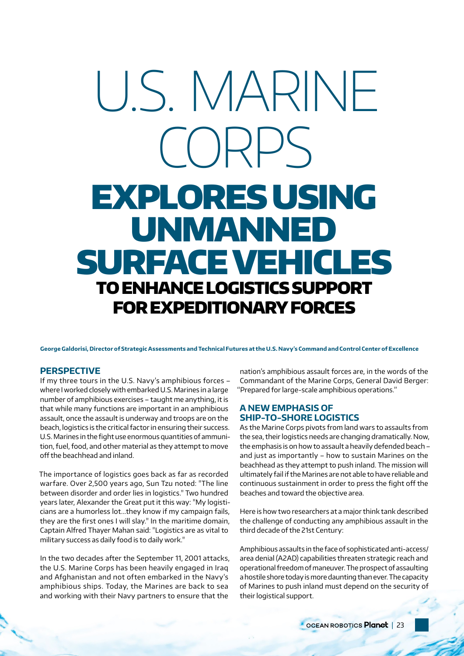# U.S. MARINE CORPS EXPLORES USING UNMANNED SURFACE VEHICLES TO ENHANCE LOGISTICS SUPPORT FOR EXPEDITIONARY FORCES

**George Galdorisi, Director of Strategic Assessments and Technical Futures at the U.S. Navy's Command and Control Center of Excellence**

## **PERSPECTIVE**

If my three tours in the U.S. Navy's amphibious forces – where I worked closely with embarked U.S. Marines in a large number of amphibious exercises – taught me anything, it is that while many functions are important in an amphibious assault, once the assault is underway and troops are on the beach, logistics is the critical factor in ensuring their success. U.S. Marines in the fight use enormous quantities of ammunition, fuel, food, and other material as they attempt to move off the beachhead and inland.

The importance of logistics goes back as far as recorded warfare. Over 2,500 years ago, Sun Tzu noted: "The line between disorder and order lies in logistics." Two hundred years later, Alexander the Great put it this way: "My logisticians are a humorless lot...they know if my campaign fails, they are the first ones I will slay." In the maritime domain, Captain Alfred Thayer Mahan said: "Logistics are as vital to military success as daily food is to daily work."

In the two decades after the September 11, 2001 attacks, the U.S. Marine Corps has been heavily engaged in Iraq and Afghanistan and not often embarked in the Navy's amphibious ships. Today, the Marines are back to sea and working with their Navy partners to ensure that the

nation's amphibious assault forces are, in the words of the Commandant of the Marine Corps, General David Berger: "Prepared for large-scale amphibious operations."

## **A NEW EMPHASIS OF SHIP-TO-SHORE LOGISTICS**

As the Marine Corps pivots from land wars to assaults from the sea, their logistics needs are changing dramatically. Now, the emphasis is on how to assault a heavily defended beach – and just as importantly – how to sustain Marines on the beachhead as they attempt to push inland. The mission will ultimately fail if the Marines are not able to have reliable and continuous sustainment in order to press the fight off the beaches and toward the objective area.

Here is how two researchers at a major think tank described the challenge of conducting any amphibious assault in the third decade of the 21st Century:

Amphibious assaults in the face of sophisticated anti-access/ area denial (A2AD) capabilities threaten strategic reach and operational freedom of maneuver. The prospect of assaulting a hostile shore today is more daunting than ever. The capacity of Marines to push inland must depend on the security of their logistical support.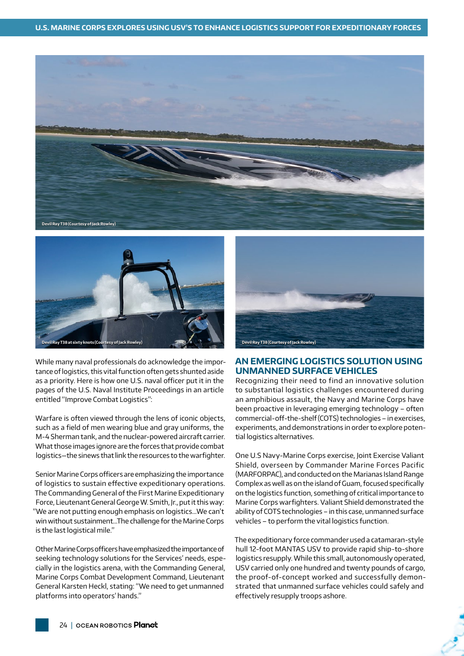



While many naval professionals do acknowledge the importance of logistics, this vital function often gets shunted aside as a priority. Here is how one U.S. naval officer put it in the pages of the U.S. Naval Institute Proceedings in an article entitled "Improve Combat Logistics":

Warfare is often viewed through the lens of iconic objects, such as a field of men wearing blue and gray uniforms, the M-4 Sherman tank, and the nuclear-powered aircraft carrier. What those images ignore are the forces that provide combat logistics—the sinews that link the resources to the warfighter.

Senior Marine Corps officers are emphasizing the importance of logistics to sustain effective expeditionary operations. The Commanding General of the First Marine Expeditionary Force, Lieutenant General George W. Smith, Jr., put it this way: "We are not putting enough emphasis on logistics…We can't win without sustainment…The challenge for the Marine Corps is the last logistical mile."

Other Marine Corps officers have emphasized the importance of seeking technology solutions for the Services' needs, especially in the logistics arena, with the Commanding General, Marine Corps Combat Development Command, Lieutenant General Karsten Heckl, stating: "We need to get unmanned platforms into operators' hands."



## **AN EMERGING LOGISTICS SOLUTION USING UNMANNED SURFACE VEHICLES**

Recognizing their need to find an innovative solution to substantial logistics challenges encountered during an amphibious assault, the Navy and Marine Corps have been proactive in leveraging emerging technology – often commercial-off-the-shelf (COTS) technologies – in exercises, experiments, and demonstrations in order to explore potential logistics alternatives.

One U.S Navy-Marine Corps exercise, Joint Exercise Valiant Shield, overseen by Commander Marine Forces Pacific (MARFORPAC), and conducted on the Marianas Island Range Complex as well as on the island of Guam, focused specifically on the logistics function, something of critical importance to Marine Corps warfighters. Valiant Shield demonstrated the ability of COTS technologies – in this case, unmanned surface vehicles – to perform the vital logistics function.

The expeditionary force commander used a catamaran-style hull 12-foot MANTAS USV to provide rapid ship-to-shore logistics resupply. While this small, autonomously operated, USV carried only one hundred and twenty pounds of cargo, the proof-of-concept worked and successfully demonstrated that unmanned surface vehicles could safely and effectively resupply troops ashore.